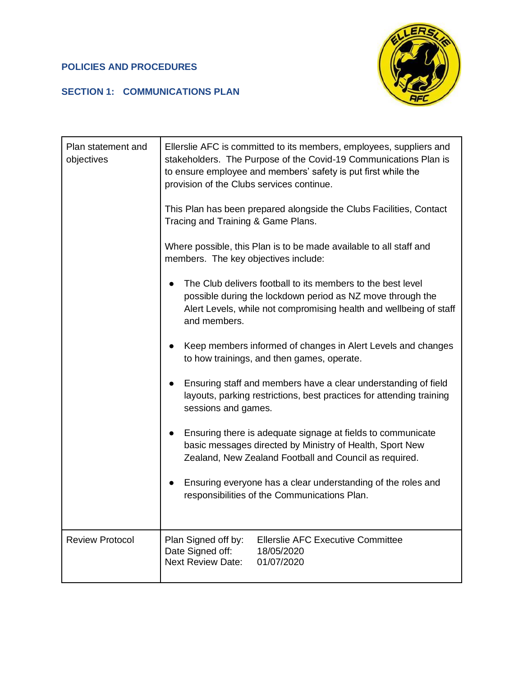## **POLICIES AND PROCEDURES**

## **SECTION 1: COMMUNICATIONS PLAN**



| Plan statement and<br>objectives | Ellerslie AFC is committed to its members, employees, suppliers and<br>stakeholders. The Purpose of the Covid-19 Communications Plan is<br>to ensure employee and members' safety is put first while the<br>provision of the Clubs services continue.<br>This Plan has been prepared alongside the Clubs Facilities, Contact<br>Tracing and Training & Game Plans.<br>Where possible, this Plan is to be made available to all staff and<br>members. The key objectives include:<br>The Club delivers football to its members to the best level<br>possible during the lockdown period as NZ move through the<br>Alert Levels, while not compromising health and wellbeing of staff<br>and members.<br>Keep members informed of changes in Alert Levels and changes<br>to how trainings, and then games, operate.<br>Ensuring staff and members have a clear understanding of field<br>layouts, parking restrictions, best practices for attending training<br>sessions and games.<br>Ensuring there is adequate signage at fields to communicate<br>basic messages directed by Ministry of Health, Sport New<br>Zealand, New Zealand Football and Council as required.<br>Ensuring everyone has a clear understanding of the roles and<br>$\bullet$<br>responsibilities of the Communications Plan. |
|----------------------------------|------------------------------------------------------------------------------------------------------------------------------------------------------------------------------------------------------------------------------------------------------------------------------------------------------------------------------------------------------------------------------------------------------------------------------------------------------------------------------------------------------------------------------------------------------------------------------------------------------------------------------------------------------------------------------------------------------------------------------------------------------------------------------------------------------------------------------------------------------------------------------------------------------------------------------------------------------------------------------------------------------------------------------------------------------------------------------------------------------------------------------------------------------------------------------------------------------------------------------------------------------------------------------------------------------|
| <b>Review Protocol</b>           | <b>Ellerslie AFC Executive Committee</b><br>Plan Signed off by:<br>Date Signed off:<br>18/05/2020<br><b>Next Review Date:</b><br>01/07/2020                                                                                                                                                                                                                                                                                                                                                                                                                                                                                                                                                                                                                                                                                                                                                                                                                                                                                                                                                                                                                                                                                                                                                          |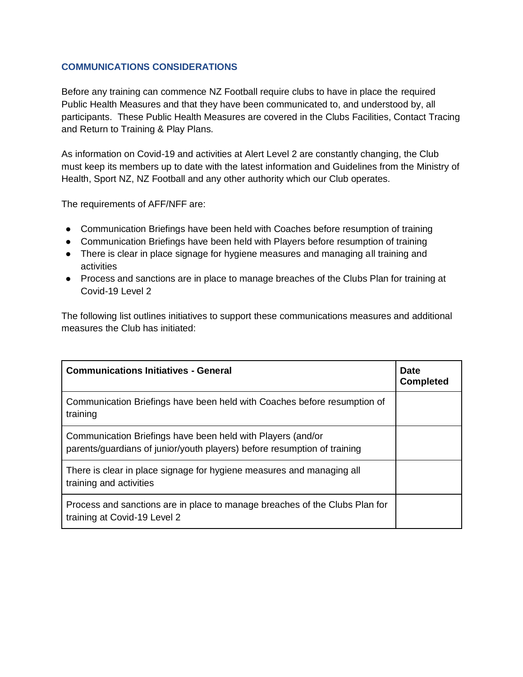## **COMMUNICATIONS CONSIDERATIONS**

Before any training can commence NZ Football require clubs to have in place the required Public Health Measures and that they have been communicated to, and understood by, all participants. These Public Health Measures are covered in the Clubs Facilities, Contact Tracing and Return to Training & Play Plans.

As information on Covid-19 and activities at Alert Level 2 are constantly changing, the Club must keep its members up to date with the latest information and Guidelines from the Ministry of Health, Sport NZ, NZ Football and any other authority which our Club operates.

The requirements of AFF/NFF are:

- Communication Briefings have been held with Coaches before resumption of training
- Communication Briefings have been held with Players before resumption of training
- There is clear in place signage for hygiene measures and managing all training and activities
- Process and sanctions are in place to manage breaches of the Clubs Plan for training at Covid-19 Level 2

The following list outlines initiatives to support these communications measures and additional measures the Club has initiated:

| <b>Communications Initiatives - General</b>                                                                                             | <b>Date</b><br><b>Completed</b> |
|-----------------------------------------------------------------------------------------------------------------------------------------|---------------------------------|
| Communication Briefings have been held with Coaches before resumption of<br>training                                                    |                                 |
| Communication Briefings have been held with Players (and/or<br>parents/guardians of junior/youth players) before resumption of training |                                 |
| There is clear in place signage for hygiene measures and managing all<br>training and activities                                        |                                 |
| Process and sanctions are in place to manage breaches of the Clubs Plan for<br>training at Covid-19 Level 2                             |                                 |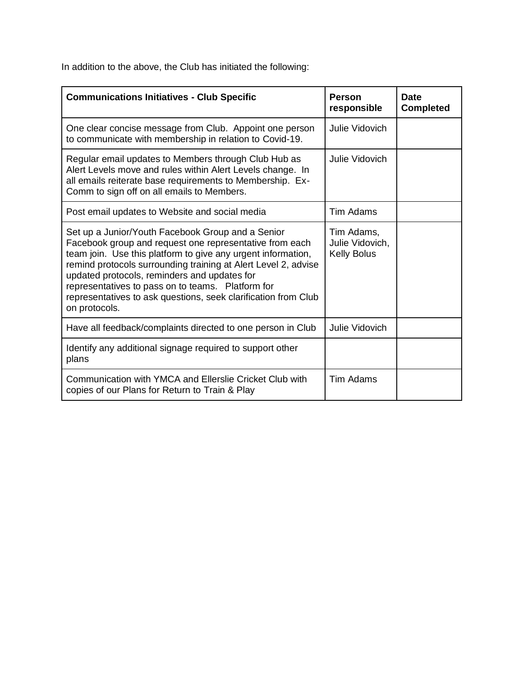In addition to the above, the Club has initiated the following:

| <b>Communications Initiatives - Club Specific</b>                                                                                                                                                                                                                                                                                                                                                                                      | <b>Person</b><br>responsible                        | <b>Date</b><br><b>Completed</b> |
|----------------------------------------------------------------------------------------------------------------------------------------------------------------------------------------------------------------------------------------------------------------------------------------------------------------------------------------------------------------------------------------------------------------------------------------|-----------------------------------------------------|---------------------------------|
| One clear concise message from Club. Appoint one person<br>to communicate with membership in relation to Covid-19.                                                                                                                                                                                                                                                                                                                     | Julie Vidovich                                      |                                 |
| Regular email updates to Members through Club Hub as<br>Alert Levels move and rules within Alert Levels change. In<br>all emails reiterate base requirements to Membership. Ex-<br>Comm to sign off on all emails to Members.                                                                                                                                                                                                          | Julie Vidovich                                      |                                 |
| Post email updates to Website and social media                                                                                                                                                                                                                                                                                                                                                                                         | Tim Adams                                           |                                 |
| Set up a Junior/Youth Facebook Group and a Senior<br>Facebook group and request one representative from each<br>team join. Use this platform to give any urgent information,<br>remind protocols surrounding training at Alert Level 2, advise<br>updated protocols, reminders and updates for<br>representatives to pass on to teams. Platform for<br>representatives to ask questions, seek clarification from Club<br>on protocols. | Tim Adams,<br>Julie Vidovich,<br><b>Kelly Bolus</b> |                                 |
| Have all feedback/complaints directed to one person in Club                                                                                                                                                                                                                                                                                                                                                                            | Julie Vidovich                                      |                                 |
| Identify any additional signage required to support other<br>plans                                                                                                                                                                                                                                                                                                                                                                     |                                                     |                                 |
| Communication with YMCA and Ellerslie Cricket Club with<br>copies of our Plans for Return to Train & Play                                                                                                                                                                                                                                                                                                                              | Tim Adams                                           |                                 |